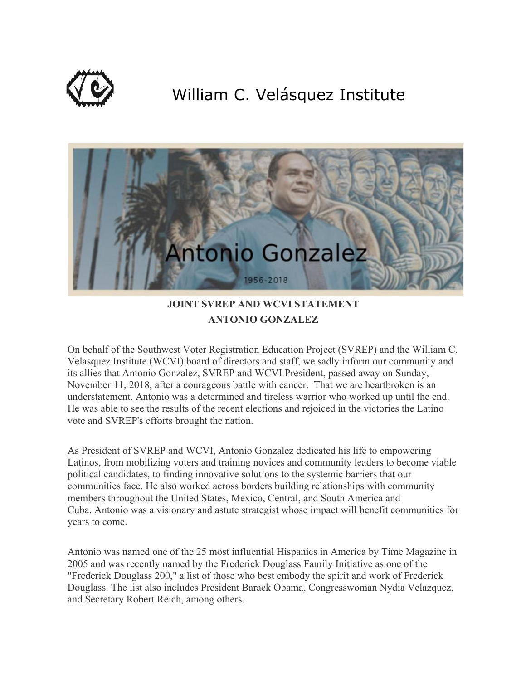

## William C. Velásquez Institute



## **JOINT SVREP AND WCVI STATEMENT ANTONIO GONZALEZ**

On behalf of the Southwest Voter Registration Education Project (SVREP) and the William C. Velasquez Institute (WCVI) board of directors and staff, we sadly inform our community and its allies that Antonio Gonzalez, SVREP and WCVI President, passed away on Sunday, November 11, 2018, after a courageous battle with cancer. That we are heartbroken is an understatement. Antonio was a determined and tireless warrior who worked up until the end. He was able to see the results of the recent elections and rejoiced in the victories the Latino vote and SVREP's efforts brought the nation.

As President of SVREP and WCVI, Antonio Gonzalez dedicated his life to empowering Latinos, from mobilizing voters and training novices and community leaders to become viable political candidates, to finding innovative solutions to the systemic barriers that our communities face. He also worked across borders building relationships with community members throughout the United States, Mexico, Central, and South America and Cuba. Antonio was a visionary and astute strategist whose impact will benefit communities for years to come.

Antonio was named one of the 25 most influential Hispanics in America by Time Magazine in 2005 and was recently named by the Frederick Douglass Family Initiative as one of the "Frederick Douglass 200," a list of those who best embody the spirit and work of Frederick Douglass. The list also includes President Barack Obama, Congresswoman Nydia Velazquez, and Secretary Robert Reich, among others.